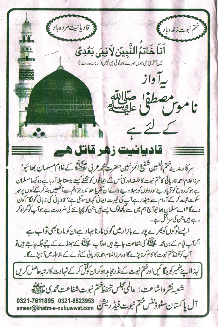